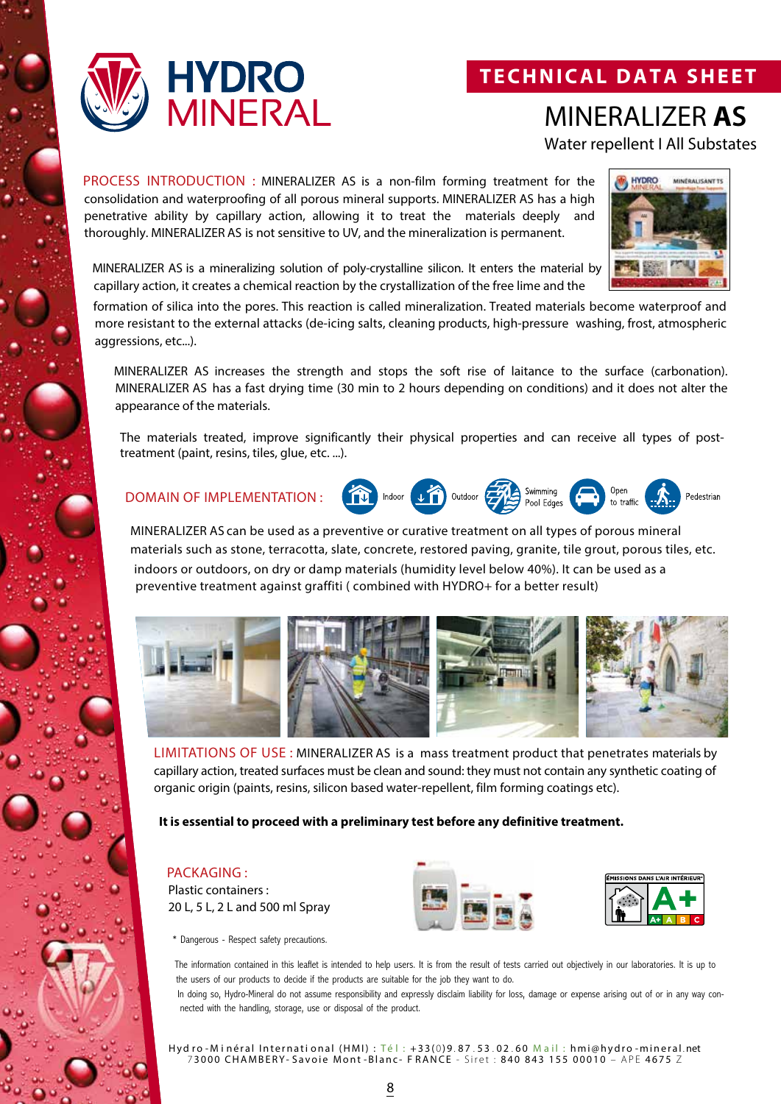

### **TECHNICAL DATA SHEET**

# MINERALIZER **AS** Water repellent I All Substates

PROCESS INTRODUCTION : MINERALIZER AS is a non-film forming treatment for the consolidation and waterproofing of all porous mineral supports. MINERALIZER AS has a high penetrative ability by capillary action, allowing it to treat the materials deeply and thoroughly. MINERALIZER AS is not sensitive to UV, and the mineralization is permanent.



MINERALIZER AS is a mineralizing solution of poly-crystalline silicon. It enters the material by capillary action, it creates a chemical reaction by the crystallization of the free lime and the

formation of silica into the pores. This reaction is called mineralization. Treated materials become waterproof and more resistant to the external attacks (de-icing salts, cleaning products, high-pressure washing, frost, atmospheric aggressions, etc...).

MINERALIZER AS increases the strength and stops the soft rise of laitance to the surface (carbonation). MINERALIZER AS has a fast drying time (30 min to 2 hours depending on conditions) and it does not alter the appearance of the materials.

The materials treated, improve significantly their physical properties and can receive all types of posttreatment (paint, resins, tiles, glue, etc. ...).

### DOMAIN OF IMPLEMENTATION :



MINERALIZER AS can be used as a preventive or curative treatment on all types of porous mineral materials such as stone, terracotta, slate, concrete, restored paving, granite, tile grout, porous tiles, etc. indoors or outdoors, on dry or damp materials (humidity level below 40%). It can be used as a preventive treatment against graffiti ( combined with HYDRO+ for a better result)



LIMITATIONS OF USE : MINERALIZER AS is a mass treatment product that penetrates materials by capillary action, treated surfaces must be clean and sound: they must not contain any synthetic coating of organic origin (paints, resins, silicon based water-repellent, film forming coatings etc).

### **It is essential to proceed with a preliminary test before any definitive treatment.**

#### PACKAGING :

Plastic containers : 20 L, 5 L, 2 L and 500 ml Spray

\* Dangerous - Respect safety precautions.





The information contained in this leaflet is intended to help users. It is from the result of tests carried out objectively in our laboratories. It is up to the users of our products to decide if the products are suitable for the job they want to do.

In doing so, Hydro-Mineral do not assume responsibility and expressly disclaim liability for loss, damage or expense arising out of or in any way connected with the handling, storage, use or disposal of the product.

Hyd ro - Minéral International (HMI) : Té l : +33(0)9.87.53.02.60 Mail : hmi@hydro - mineral.net 7 3000 CHAMBERY- Savoie Mont -Blanc- F RANCE - Siret : 840 843 155 00010 – APE 4675 Z